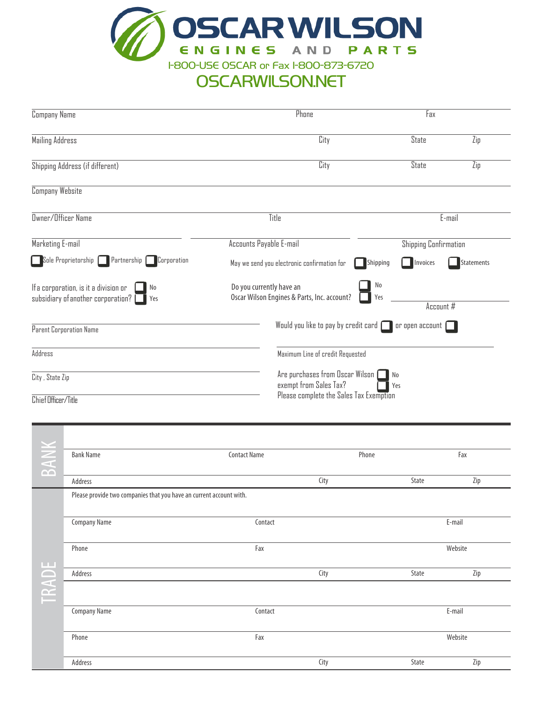

# OSCARWILSON.NET

| Company Name                                                                               | Phone                                                                   | Fax                                                                                       |  |  |  |  |
|--------------------------------------------------------------------------------------------|-------------------------------------------------------------------------|-------------------------------------------------------------------------------------------|--|--|--|--|
| Mailing Address                                                                            | City                                                                    | <b>State</b><br>Zip                                                                       |  |  |  |  |
| Shipping Address (if different)                                                            | City                                                                    | <b>State</b><br>Zip                                                                       |  |  |  |  |
| <b>Company Website</b>                                                                     |                                                                         |                                                                                           |  |  |  |  |
| Owner/Officer Name                                                                         | Title                                                                   | E-mail                                                                                    |  |  |  |  |
| Marketing E-mail                                                                           | Accounts Payable E-mail                                                 | <b>Shipping Confirmation</b>                                                              |  |  |  |  |
| Sole Proprietorship Partnership<br>Corporation                                             | May we send you electronic confirmation for                             | Shipping<br>Invoices<br><b>Statements</b>                                                 |  |  |  |  |
| If a corporation, is it a division or<br>No<br>subsidiary of another corporation? [<br>Yes | Do you currently have an<br>Oscar Wilson Engines & Parts, Inc. account? | No<br>Yes<br>Account #                                                                    |  |  |  |  |
| Parent Corporation Name                                                                    |                                                                         | Would you like to pay by credit card $\Box$<br>$\vert$ or open account $\vert \Box \vert$ |  |  |  |  |
| Address                                                                                    |                                                                         | Maximum Line of credit Requested                                                          |  |  |  |  |
| City, State Zip                                                                            | Are purchases from Oscar Wilson $\Box$<br>exempt from Sales Tax?        | No<br>Yes                                                                                 |  |  |  |  |
| Chief Officer/Title                                                                        | Please complete the Sales Tax Exemption                                 |                                                                                           |  |  |  |  |
|                                                                                            |                                                                         |                                                                                           |  |  |  |  |

| BANK      | <b>Bank Name</b>                                                    | <b>Contact Name</b> | Phone |       | Fax     |  |
|-----------|---------------------------------------------------------------------|---------------------|-------|-------|---------|--|
|           | Address                                                             |                     | City  | State | Zip     |  |
|           | Please provide two companies that you have an current account with. |                     |       |       |         |  |
|           | <b>Company Name</b>                                                 | Contact             |       |       | E-mail  |  |
| <b>LL</b> | Phone                                                               | Fax                 |       |       | Website |  |
| TRADE     | Address                                                             |                     | City  | State | Zip     |  |
|           | <b>Company Name</b>                                                 | Contact             |       |       | E-mail  |  |
|           | Phone                                                               | Fax                 |       |       | Website |  |
|           | Address                                                             |                     | City  | State | Zip     |  |
|           |                                                                     |                     |       |       |         |  |

Email: \_\_\_\_\_\_\_\_\_\_\_\_\_\_\_\_\_\_\_\_\_\_\_\_\_\_\_ Website:\_\_\_\_\_\_\_\_\_\_\_\_\_\_\_\_\_\_\_\_\_\_\_\_\_\_\_\_\_\_\_\_\_\_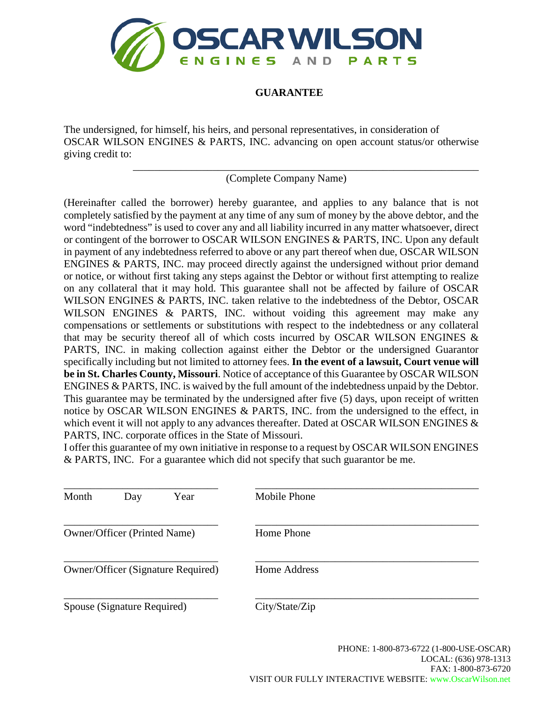

## **GUARANTEE**

The undersigned, for himself, his heirs, and personal representatives, in consideration of OSCAR WILSON ENGINES & PARTS, INC. advancing on open account status/or otherwise giving credit to:

(Complete Company Name)

\_\_\_\_\_\_\_\_\_\_\_\_\_\_\_\_\_\_\_\_\_\_\_\_\_\_\_\_\_\_\_\_\_\_\_\_\_\_\_\_\_\_\_\_\_\_\_\_\_\_\_\_\_\_\_\_\_\_\_\_\_\_\_\_\_

(Hereinafter called the borrower) hereby guarantee, and applies to any balance that is not completely satisfied by the payment at any time of any sum of money by the above debtor, and the word "indebtedness" is used to cover any and all liability incurred in any matter whatsoever, direct or contingent of the borrower to OSCAR WILSON ENGINES & PARTS, INC. Upon any default in payment of any indebtedness referred to above or any part thereof when due, OSCAR WILSON ENGINES & PARTS, INC. may proceed directly against the undersigned without prior demand or notice, or without first taking any steps against the Debtor or without first attempting to realize on any collateral that it may hold. This guarantee shall not be affected by failure of OSCAR WILSON ENGINES & PARTS, INC. taken relative to the indebtedness of the Debtor, OSCAR WILSON ENGINES & PARTS, INC. without voiding this agreement may make any compensations or settlements or substitutions with respect to the indebtedness or any collateral that may be security thereof all of which costs incurred by OSCAR WILSON ENGINES  $\&$ PARTS, INC. in making collection against either the Debtor or the undersigned Guarantor specifically including but not limited to attorney fees. **In the event of a lawsuit, Court venue will be in St. Charles County, Missouri**. Notice of acceptance of this Guarantee by OSCAR WILSON ENGINES & PARTS, INC. is waived by the full amount of the indebtedness unpaid by the Debtor. This guarantee may be terminated by the undersigned after five (5) days, upon receipt of written notice by OSCAR WILSON ENGINES & PARTS, INC. from the undersigned to the effect, in which event it will not apply to any advances thereafter. Dated at OSCAR WILSON ENGINES  $\&$ PARTS, INC. corporate offices in the State of Missouri.

I offer this guarantee of my own initiative in response to a request by OSCAR WILSON ENGINES & PARTS, INC. For a guarantee which did not specify that such guarantor be me.

| Month | Year<br>Day                        | Mobile Phone   |  |
|-------|------------------------------------|----------------|--|
|       | Owner/Officer (Printed Name)       | Home Phone     |  |
|       | Owner/Officer (Signature Required) | Home Address   |  |
|       | Spouse (Signature Required)        | City/State/Zip |  |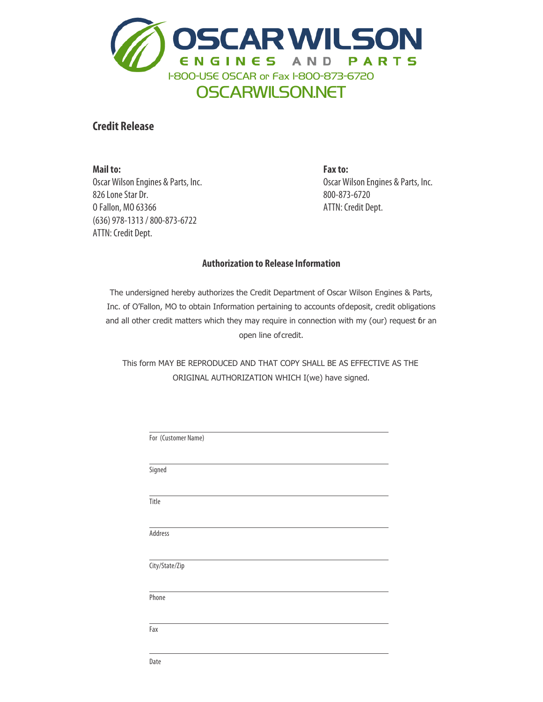

## **Credit Release**

**Mail To: Or Fax To:** O Fallon, MO 63366 (636) 978-1313 / 800-873-6722 ATTN: Credit Dept. O'fallon, MO 63366 ATTN: Credit Dept. **Mail to:** Oscar Wilson Engines & Parts, Inc. 826 Lone Star Dr.

**Fax to:** Oscar Wilson Engines & Parts, Inc. 800-873-6720 ATTN: Credit Dept.

## **Authorization to Release Information**

**Authorization To Release Information** Inc. of O'Fallon, MO to obtain Information pertaining to accounts ofdeposit, credit obligations and all other credit matters which they may require in connection with my (our) re and all other credit matters which they may require in connection with my (our) request for an<br>exampling of standit  $\phi$  matters which they conclude the connection with  $\phi$ The undersigned hereby authorizes the Credit Department of Oscar Wilson Engines & Parts, open line of credit.

ORIGINAL AUTHORIZATION WHICH I(we) have signed. BEEN EXTENSIVE AS EFFECTIVE AS THE ORIGINAL AUTHORIZATION WHICH IS A GROUP OF THE ORIGINAL AUTHORIZATION WHICH IS A GROUP OF THE ORIGINAL AND THE ORIGINAL AUTHORIZATION WHICH IS A GROUP OF THE ORIGINAL AND THE ORIGINAL AND This form MAY BE REPRODUCED AND THAT COPY SHALL BE AS EFFECTIVE AS THE

| For (Customer Name) |  |  |  |
|---------------------|--|--|--|
| Signed              |  |  |  |
|                     |  |  |  |
| Title               |  |  |  |
| Address             |  |  |  |
| City/State/Zip      |  |  |  |
| Phone               |  |  |  |
| Fax                 |  |  |  |
|                     |  |  |  |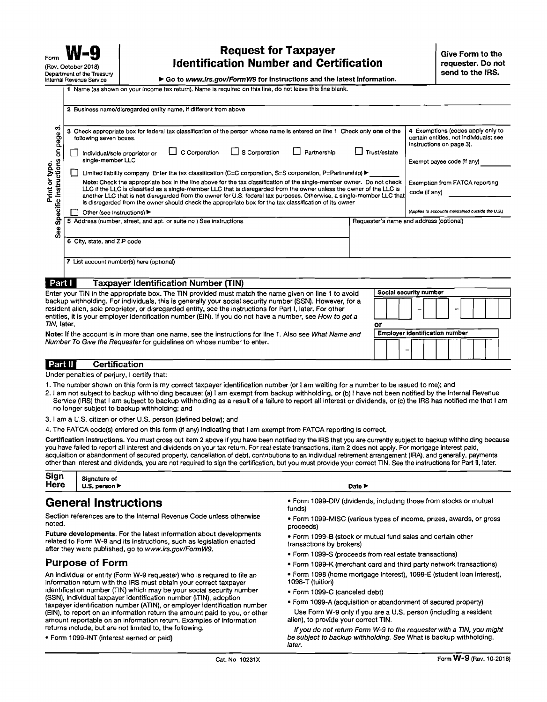## Request for Taxpayer Form  $\overline{e}$  (Rev. October 2018)<br>Department of the Treasury

Department of the Treasury Internal Revenue Service Go to www.irs.gov/FormW9 for instructions and the latest information.

Name (as shown on your income tax return). Name is required on this line, do not leave this line blank.

| ო<br>page<br>S                          | 3 Check appropriate box for federal tax classification of the person whose name is entered on line 1 Check only one of the<br>following seven boxes.                                                                                                                                                                                                                                                                                                                              | 4 Exemptions (codes apply only to<br>certain entities, not individuals; see<br>instructions on page 3). |  |  |
|-----------------------------------------|-----------------------------------------------------------------------------------------------------------------------------------------------------------------------------------------------------------------------------------------------------------------------------------------------------------------------------------------------------------------------------------------------------------------------------------------------------------------------------------|---------------------------------------------------------------------------------------------------------|--|--|
|                                         | $\Box$ C Corporation<br>Trust/estate<br>$\Box$ S Corporation<br>Partnership<br>Individual/sole proprietor or<br>single-member LLC                                                                                                                                                                                                                                                                                                                                                 | Exempt payee code (if any)                                                                              |  |  |
|                                         | Limited liability company Enter the tax classification (C=C corporation, S=S corporation, P=Partnership) $\blacktriangleright$                                                                                                                                                                                                                                                                                                                                                    |                                                                                                         |  |  |
| Specific Instructions<br>Print or type. | Note: Check the appropriate box in the line above for the tax classification of the single-member owner. Do not check<br>LLC if the LLC is classified as a single-member LLC that is disregarded from the owner unless the owner of the LLC is<br>another LLC that is not disregarded from the owner for U.S. federal tax purposes. Otherwise, a single-member LLC that<br>is disregarded from the owner should check the appropriate box for the tax classification of its owner | Exemption from FATCA reporting<br>code (if any)                                                         |  |  |
|                                         | Other (see instructions) ▶                                                                                                                                                                                                                                                                                                                                                                                                                                                        | (Applies to accounts memtained outside the U.S.)                                                        |  |  |
| <b>See</b>                              | 5 Address (number, street, and apt. or suite no.) See instructions.<br>Requester's name and address (optional)                                                                                                                                                                                                                                                                                                                                                                    |                                                                                                         |  |  |
|                                         | 6 City, state, and ZIP code                                                                                                                                                                                                                                                                                                                                                                                                                                                       |                                                                                                         |  |  |
|                                         | 7 List account number(s) here (optional)                                                                                                                                                                                                                                                                                                                                                                                                                                          |                                                                                                         |  |  |
|                                         |                                                                                                                                                                                                                                                                                                                                                                                                                                                                                   |                                                                                                         |  |  |
| Part I                                  | <b>Taxpayer Identification Number (TIN)</b>                                                                                                                                                                                                                                                                                                                                                                                                                                       |                                                                                                         |  |  |

TIN, later. **Employer identification number** Note: If the account is in more than one name, see the instructions for line 1. Also see What Name and Number To Give the Requester for guidelines on whose number to enter.

### Part II **Certification**

Under penalties of perjury, I certify that:

- 1. The number shown on this form is my correct taxpayer identification number (or I am waiting for a number to be issued to me); and
- 2. I am not subject to backup withholding because: (a) I am exempt from backup withholding, or (b) 1have not been notified by the Internal Revenue Service (IRS) that I am subject to backup withholding as a result of a failure to report all interest or dividends, or (c) the IRS has notified me that I am no longer SUbject to backup withholding; and
- 3. I am a U.S. citizen or other U.S. person (defined below); and

4. The FATCA code(s) entered on this form (if any) indicating that I am exempt from FATCA reporting is correct.

Certification instructions. You must cross out item 2 above if you have been notified by the IRS that you are currently subject to backup withholding because you have failed to report all interest and dividends on your tax return. For real estate transactions, item 2 does not apply. For mortgage interest paid, acquisition or abandonment of secured property, cancellation of debt, contnbutions to an indiVidual retirement arrangernent (IRA), and generally. payments other than interest and dividends, you are not required to sign the certification, but you must provide your correct TIN. See the instructions for Part II, later.

| Sign | Signature of                      |  |  |        |  |  |
|------|-----------------------------------|--|--|--------|--|--|
| Here | U.S. person $\blacktriangleright$ |  |  | Date > |  |  |
|      |                                   |  |  |        |  |  |

Future developments. For the latest information about developments • Form 1099-B (stock or mutual fund sales and certain other<br>related to Form W-9 and its instructions, such as legislation enacted transactions by brokers) after they were published, go to www.irs.gov/FormW9.<br>• Form 1099-S (proceeds from real estate transactions)

information return with the IRS must obtain your correct taxpayer identification number (TIN) which may be your social security number (SSN), individual taxpayer identification number (ITIN), adoption identification number (TIN) which may be your social security number<br>(SSN), individual taxpayer identification number (ITIN), adoption<br>taxpayer identification number (ATIN), or employer identification number<br>(EIN), to repo (EIN), to report on an information return the amount paid to you, or other Use Form W-9 only if you are a a amount reportable on an information return. Examples of information alien), to provide your correct TIN. amount reportable on an information return. Examples of information returns include, but are not limited to, the fol/owing.

- General Instructions<br>
Section references are to the Internal Revenue Code unless otherwise<br>
Form 1099-DIV (dividends, including those from stocks or mutual<br>
Form 1099-DIV (dividends, including those from stocks or mutual<br>
- Section references are to the Internal Hevenue Code unless otherwise Form 1099-MISC (various types of income, prizes, awards, or gross<br>noted.<br>Future developments. For the latest information about developments Form 1000
	-
	-
- **Purpose of Form Form 1099-K** (merchant card and third party network transactions)
- An individual or entity (Form W-9 requester) who is required to file an Form 1098 (home mortgage interest), 1098-E (student loan interest), Information return with the IRS must obtain your correct taxpayer 1098-T (tuitio
	-
	-

If you do not return Form W-9 to the requester with a TIN, you might • Form 1099-INT (interest earned or paid) be SUbject to backup withholding. See What is backup withholding, later.